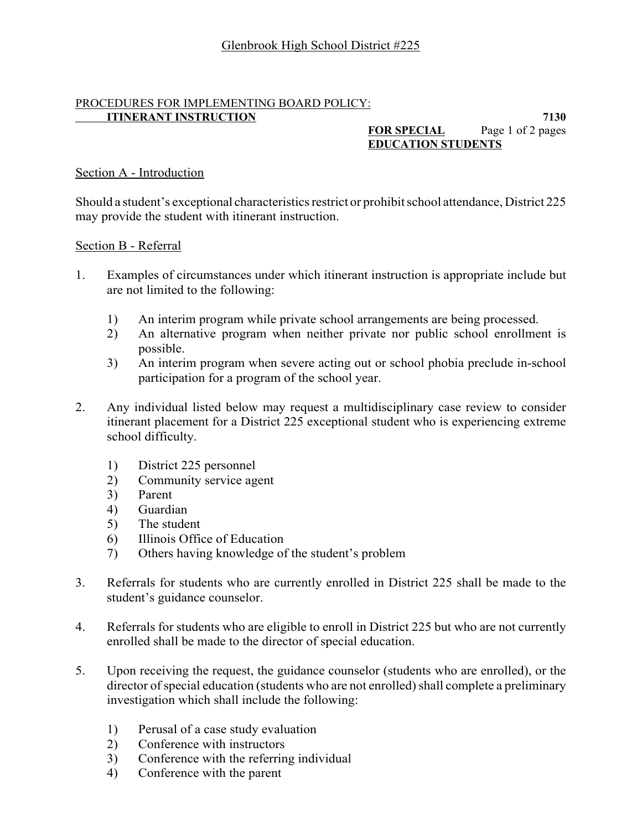### PROCEDURES FOR IMPLEMENTING BOARD POLICY: **ITINERANT INSTRUCTION** 7130

# **FOR SPECIAL** Page 1 of 2 pages **EDUCATION STUDENTS**

# Section A - Introduction

Should a student's exceptional characteristics restrict or prohibit school attendance, District 225 may provide the student with itinerant instruction.

## Section B - Referral

- 1. Examples of circumstances under which itinerant instruction is appropriate include but are not limited to the following:
	- 1) An interim program while private school arrangements are being processed.
	- 2) An alternative program when neither private nor public school enrollment is possible.
	- 3) An interim program when severe acting out or school phobia preclude in-school participation for a program of the school year.
- 2. Any individual listed below may request a multidisciplinary case review to consider itinerant placement for a District 225 exceptional student who is experiencing extreme school difficulty.
	- 1) District 225 personnel
	- 2) Community service agent
	- 3) Parent
	- 4) Guardian
	- 5) The student
	- 6) Illinois Office of Education
	- 7) Others having knowledge of the student's problem
- 3. Referrals for students who are currently enrolled in District 225 shall be made to the student's guidance counselor.
- 4. Referrals for students who are eligible to enroll in District 225 but who are not currently enrolled shall be made to the director of special education.
- 5. Upon receiving the request, the guidance counselor (students who are enrolled), or the director of special education (students who are not enrolled) shall complete a preliminary investigation which shall include the following:
	- 1) Perusal of a case study evaluation
	- 2) Conference with instructors
	- 3) Conference with the referring individual
	- 4) Conference with the parent